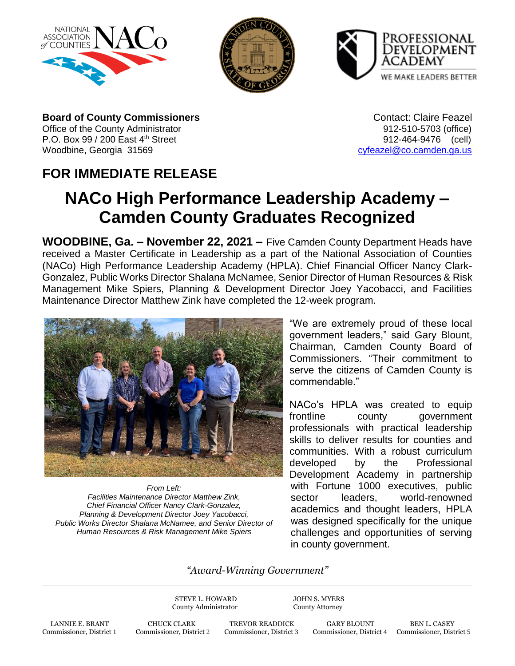





**Board of County Commissioners Contact: Claire Feazel** Contact: Claire Feazel Office of the County Administrator **912-510-5703** (office) P.O. Box 99 / 200 East 4<sup>th</sup> Street 912-464-9476 (cell) Woodbine, Georgia 31569 [cyfeazel@co.camden.ga.us](mailto:cyfeazel@co.camden.ga.us)

## **FOR IMMEDIATE RELEASE**

## **NACo High Performance Leadership Academy – Camden County Graduates Recognized**

**WOODBINE, Ga. – November 22, 2021 –** Five Camden County Department Heads have received a Master Certificate in Leadership as a part of the National Association of Counties (NACo) High Performance Leadership Academy (HPLA). Chief Financial Officer Nancy Clark-Gonzalez, Public Works Director Shalana McNamee, Senior Director of Human Resources & Risk Management Mike Spiers, Planning & Development Director Joey Yacobacci, and Facilities Maintenance Director Matthew Zink have completed the 12-week program.



*From Left: Facilities Maintenance Director Matthew Zink, Chief Financial Officer Nancy Clark-Gonzalez, Planning & Development Director Joey Yacobacci, Public Works Director Shalana McNamee, and Senior Director of Human Resources & Risk Management Mike Spiers*

"We are extremely proud of these local government leaders," said Gary Blount, Chairman, Camden County Board of Commissioners. "Their commitment to serve the citizens of Camden County is commendable."

NACo's HPLA was created to equip frontline county government professionals with practical leadership skills to deliver results for counties and communities. With a robust curriculum developed by the Professional Development Academy in partnership with Fortune 1000 executives, public sector leaders, world-renowned academics and thought leaders, HPLA was designed specifically for the unique challenges and opportunities of serving in county government.

## *"Award-Winning Government"*

STEVE L. HOWARD JOHN S. MYERS County Administrator County Attorney

LANNIE E. BRANT CHUCK CLARK TREVOR READDICK GARY BLOUNT BEN L. CASEY Commissioner, District 1 Commissioner, District 2 Commissioner, District 3 Commissioner, District 4 Commissioner, Dist

Commissioner, District 1 Commissioner, District 2 Commissioner, District 3 Commissioner, District 4 Commissioner, District 5